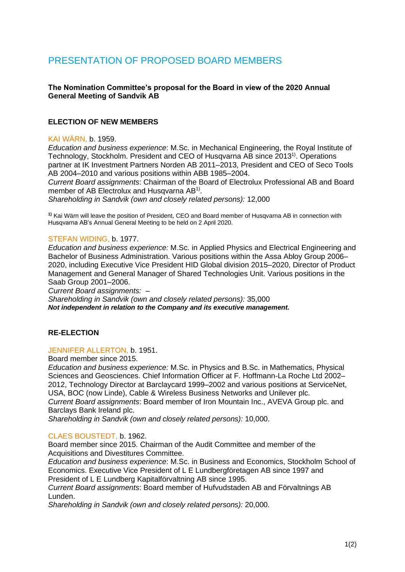# PRESENTATION OF PROPOSED BOARD MEMBERS

# **The Nomination Committee's proposal for the Board in view of the 2020 Annual General Meeting of Sandvik AB**

# **ELECTION OF NEW MEMBERS**

#### KAI WÄRN, b. 1959.

*Education and business experience*: M.Sc. in Mechanical Engineering, the Royal Institute of Technology, Stockholm. President and CEO of Husqvarna AB since 2013<sup>1)</sup>. Operations partner at IK Investment Partners Norden AB 2011–2013, President and CEO of Seco Tools AB 2004–2010 and various positions within ABB 1985–2004.

*Current Board assignments*: Chairman of the Board of Electrolux Professional AB and Board member of AB Electrolux and Husqvarna AB<sup>1)</sup>.

*Shareholding in Sandvik (own and closely related persons):* 12,000

**1)** Kai Wärn will leave the position of President, CEO and Board member of Husqvarna AB in connection with Husqvarna AB's Annual General Meeting to be held on 2 April 2020.

#### STEFAN WIDING, b. 1977.

*Education and business experience:* M.Sc. in Applied Physics and Electrical Engineering and Bachelor of Business Administration. Various positions within the Assa Abloy Group 2006– 2020, including Executive Vice President HID Global division 2015–2020, Director of Product Management and General Manager of Shared Technologies Unit. Various positions in the Saab Group 2001–2006.

*Current Board assignments:* –

*Shareholding in Sandvik (own and closely related persons):* 35,000 *Not independent in relation to the Company and its executive management.*

# **RE-ELECTION**

#### JENNIFER ALLERTON, b. 1951.

Board member since 2015.

*Education and business experience:* M.Sc. in Physics and B.Sc. in Mathematics, Physical Sciences and Geosciences. Chief Information Officer at F. Hoffmann-La Roche Ltd 2002– 2012, Technology Director at Barclaycard 1999–2002 and various positions at ServiceNet, USA, BOC (now Linde), Cable & Wireless Business Networks and Unilever plc.

*Current Board assignments*: Board member of Iron Mountain Inc., AVEVA Group plc. and Barclays Bank Ireland plc.

*Shareholding in Sandvik (own and closely related persons):* 10,000.

#### CLAES BOUSTEDT, b. 1962.

Board member since 2015. Chairman of the Audit Committee and member of the Acquisitions and Divestitures Committee.

*Education and business experience*: M.Sc. in Business and Economics, Stockholm School of Economics. Executive Vice President of L E Lundbergföretagen AB since 1997 and President of L E Lundberg Kapitalförvaltning AB since 1995.

*Current Board assignments*: Board member of Hufvudstaden AB and Förvaltnings AB Lunden.

*Shareholding in Sandvik (own and closely related persons):* 20,000.